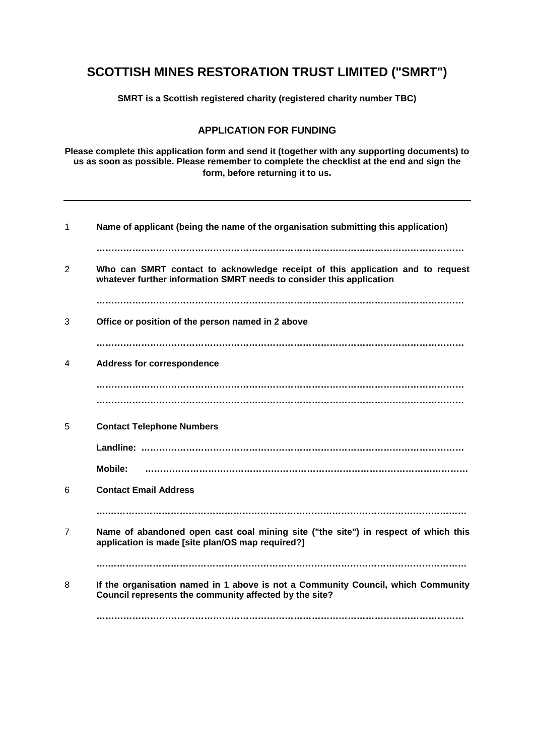# **SCOTTISH MINES RESTORATION TRUST LIMITED ("SMRT")**

**SMRT is a Scottish registered charity (registered charity number TBC)** 

# **APPLICATION FOR FUNDING**

**Please complete this application form and send it (together with any supporting documents) to us as soon as possible. Please remember to complete the checklist at the end and sign the form, before returning it to us.**

| 1              | Name of applicant (being the name of the organisation submitting this application)                                                                     |
|----------------|--------------------------------------------------------------------------------------------------------------------------------------------------------|
| $\overline{2}$ | Who can SMRT contact to acknowledge receipt of this application and to request<br>whatever further information SMRT needs to consider this application |
|                |                                                                                                                                                        |
| 3              | Office or position of the person named in 2 above                                                                                                      |
|                |                                                                                                                                                        |
| 4              | <b>Address for correspondence</b>                                                                                                                      |
|                |                                                                                                                                                        |
|                |                                                                                                                                                        |
| 5              | <b>Contact Telephone Numbers</b>                                                                                                                       |
|                |                                                                                                                                                        |
|                | <b>Mobile:</b>                                                                                                                                         |
| 6              | <b>Contact Email Address</b>                                                                                                                           |
|                |                                                                                                                                                        |
| $\overline{7}$ | Name of abandoned open cast coal mining site ("the site") in respect of which this<br>application is made [site plan/OS map required?]                 |
|                |                                                                                                                                                        |
| 8              | If the organisation named in 1 above is not a Community Council, which Community<br>Council represents the community affected by the site?             |
|                |                                                                                                                                                        |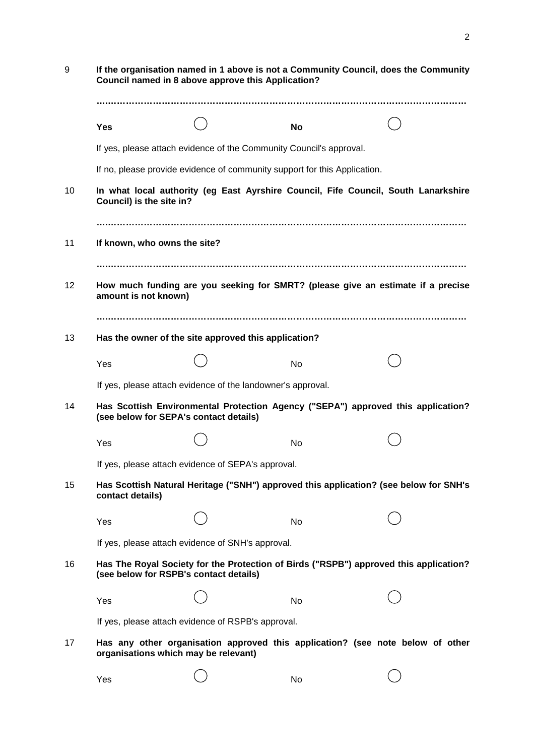| 9               | If the organisation named in 1 above is not a Community Council, does the Community<br>Council named in 8 above approve this Application? |                                                                                       |           |  |  |  |  |
|-----------------|-------------------------------------------------------------------------------------------------------------------------------------------|---------------------------------------------------------------------------------------|-----------|--|--|--|--|
|                 |                                                                                                                                           |                                                                                       |           |  |  |  |  |
|                 | <b>Yes</b>                                                                                                                                |                                                                                       | <b>No</b> |  |  |  |  |
|                 | If yes, please attach evidence of the Community Council's approval.                                                                       |                                                                                       |           |  |  |  |  |
|                 | If no, please provide evidence of community support for this Application.                                                                 |                                                                                       |           |  |  |  |  |
| 10              | In what local authority (eg East Ayrshire Council, Fife Council, South Lanarkshire<br>Council) is the site in?                            |                                                                                       |           |  |  |  |  |
|                 |                                                                                                                                           |                                                                                       |           |  |  |  |  |
| 11              | If known, who owns the site?                                                                                                              |                                                                                       |           |  |  |  |  |
|                 |                                                                                                                                           |                                                                                       |           |  |  |  |  |
| 12 <sub>2</sub> | How much funding are you seeking for SMRT? (please give an estimate if a precise<br>amount is not known)                                  |                                                                                       |           |  |  |  |  |
|                 |                                                                                                                                           |                                                                                       |           |  |  |  |  |
| 13              |                                                                                                                                           | Has the owner of the site approved this application?                                  |           |  |  |  |  |
|                 | Yes                                                                                                                                       |                                                                                       | <b>No</b> |  |  |  |  |
|                 |                                                                                                                                           | If yes, please attach evidence of the landowner's approval.                           |           |  |  |  |  |
| 14              | Has Scottish Environmental Protection Agency ("SEPA") approved this application?<br>(see below for SEPA's contact details)                |                                                                                       |           |  |  |  |  |
|                 | Yes                                                                                                                                       |                                                                                       | No        |  |  |  |  |
|                 | If yes, please attach evidence of SEPA's approval.                                                                                        |                                                                                       |           |  |  |  |  |
| 15              | contact details)                                                                                                                          | Has Scottish Natural Heritage ("SNH") approved this application? (see below for SNH's |           |  |  |  |  |
|                 | Yes                                                                                                                                       |                                                                                       | No        |  |  |  |  |
|                 | If yes, please attach evidence of SNH's approval.                                                                                         |                                                                                       |           |  |  |  |  |
| 16              | Has The Royal Society for the Protection of Birds ("RSPB") approved this application?<br>(see below for RSPB's contact details)           |                                                                                       |           |  |  |  |  |
|                 | Yes                                                                                                                                       |                                                                                       | No        |  |  |  |  |
|                 | If yes, please attach evidence of RSPB's approval.                                                                                        |                                                                                       |           |  |  |  |  |
| 17              | organisations which may be relevant)                                                                                                      | Has any other organisation approved this application? (see note below of other        |           |  |  |  |  |
|                 | Yes                                                                                                                                       |                                                                                       | No        |  |  |  |  |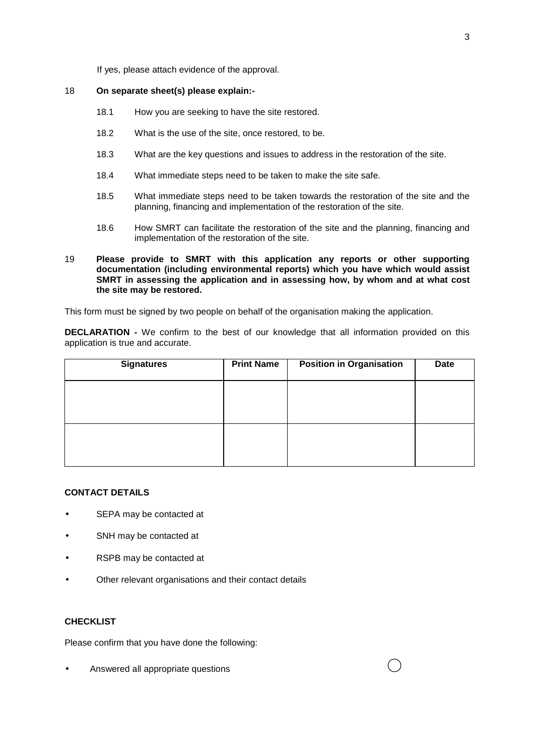If yes, please attach evidence of the approval.

### 18 **On separate sheet(s) please explain:-**

- 18.1 How you are seeking to have the site restored.
- 18.2 What is the use of the site, once restored, to be.
- 18.3 What are the key questions and issues to address in the restoration of the site.
- 18.4 What immediate steps need to be taken to make the site safe.
- 18.5 What immediate steps need to be taken towards the restoration of the site and the planning, financing and implementation of the restoration of the site.
- 18.6 How SMRT can facilitate the restoration of the site and the planning, financing and implementation of the restoration of the site.
- 19 **Please provide to SMRT with this application any reports or other supporting documentation (including environmental reports) which you have which would assist SMRT in assessing the application and in assessing how, by whom and at what cost the site may be restored.**

This form must be signed by two people on behalf of the organisation making the application.

**DECLARATION -** We confirm to the best of our knowledge that all information provided on this application is true and accurate.

| <b>Signatures</b> | <b>Print Name</b> | <b>Position in Organisation</b> | Date |
|-------------------|-------------------|---------------------------------|------|
|                   |                   |                                 |      |
|                   |                   |                                 |      |
|                   |                   |                                 |      |
|                   |                   |                                 |      |

## **CONTACT DETAILS**

- SEPA may be contacted at
- SNH may be contacted at
- RSPB may be contacted at
- Other relevant organisations and their contact details

## **CHECKLIST**

Please confirm that you have done the following:

• Answered all appropriate questions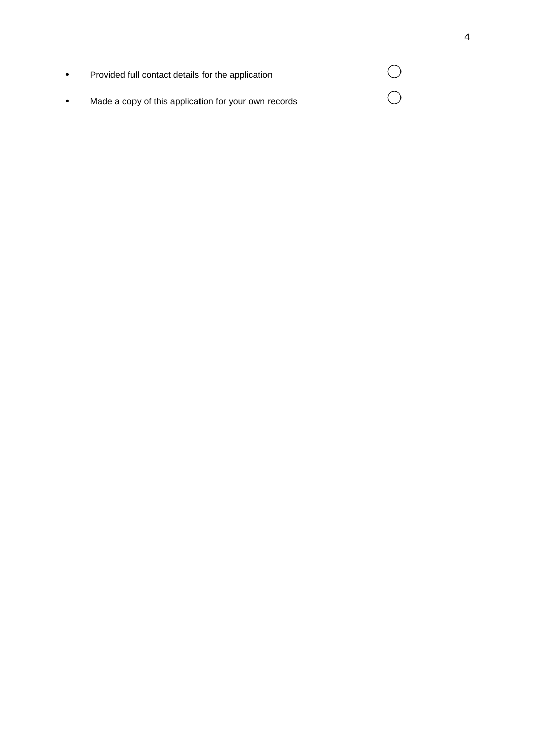| $\bullet$ | Provided full contact details for the application    |  |
|-----------|------------------------------------------------------|--|
| $\bullet$ | Made a copy of this application for your own records |  |